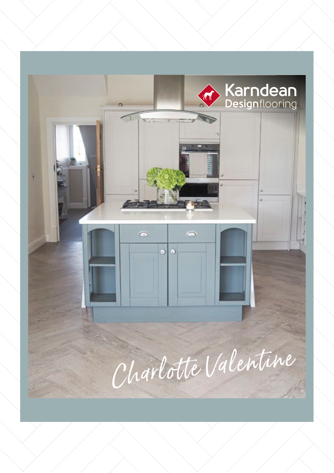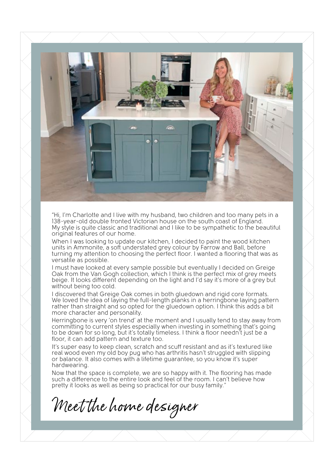

"Hi, I'm Charlotte and I live with my husband, two children and too many pets in a 138-year-old double fronted Victorian house on the south coast of England. My style is quite classic and traditional and I like to be sympathetic to the beautiful original features of our home.

When I was looking to update our kitchen, I decided to paint the wood kitchen units in Ammonite, a soft understated grey colour by Farrow and Ball, before turning my attention to choosing the perfect floor. I wanted a flooring that was as versatile as possible.

I must have looked at every sample possible but eventually I decided on Greige Oak from the Van Gogh collection, which I think is the perfect mix of grey meets beige. It looks different depending on the light and I'd say it's more of a grey but without being too cold.

I discovered that Greige Oak comes in both gluedown and rigid core formats. We loved the idea of laying the full-length planks in a herringbone laying pattern rather than straight and so opted for the gluedown option. I think this adds a bit more character and personality.

Herringbone is very 'on trend' at the moment and I usually tend to stay away from committing to current styles especially when investing in something that's going to be down for so long, but it's totally timeless. I think a floor needn't just be a floor, it can add pattern and texture too.

It's super easy to keep clean, scratch and scuff resistant and as it's textured like real wood even my old boy pug who has arthritis hasn't struggled with slipping or balance. It also comes with a lifetime guarantee, so you know it's super hardwearing.

Now that the space is complete, we are so happy with it. The flooring has made such a difference to the entire look and feel of the room. I can't believe how pretty it looks as well as being so practical for our busy family."

Meet the home designer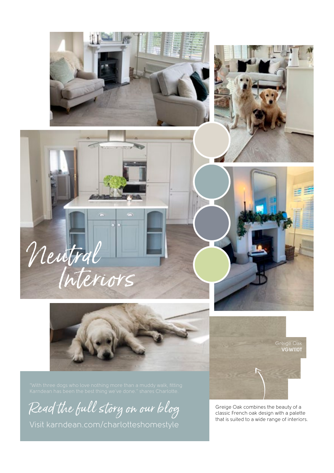









Read the full story on our blog

[Visit karndean.com/charlotteshomestyle](https://www.karndean.com/en-gb/floors/our-blog/2020/october/charlotte-kitchen-renovation)

[Greige Oak](http://) **VGW110T**

Greige Oak combines the beauty of a classic French oak design with a palette that is suited to a wide range of interiors.